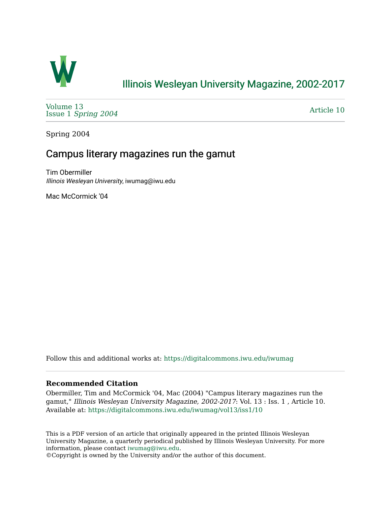

# [Illinois Wesleyan University Magazine, 2002-2017](https://digitalcommons.iwu.edu/iwumag)

[Volume 13](https://digitalcommons.iwu.edu/iwumag/vol13)  Issue 1 [Spring 2004](https://digitalcommons.iwu.edu/iwumag/vol13/iss1)

[Article 10](https://digitalcommons.iwu.edu/iwumag/vol13/iss1/10) 

Spring 2004

## Campus literary magazines run the gamut

Tim Obermiller Illinois Wesleyan University, iwumag@iwu.edu

Mac McCormick '04

Follow this and additional works at: [https://digitalcommons.iwu.edu/iwumag](https://digitalcommons.iwu.edu/iwumag?utm_source=digitalcommons.iwu.edu%2Fiwumag%2Fvol13%2Fiss1%2F10&utm_medium=PDF&utm_campaign=PDFCoverPages) 

#### **Recommended Citation**

Obermiller, Tim and McCormick '04, Mac (2004) "Campus literary magazines run the gamut," Illinois Wesleyan University Magazine, 2002-2017: Vol. 13 : Iss. 1 , Article 10. Available at: [https://digitalcommons.iwu.edu/iwumag/vol13/iss1/10](https://digitalcommons.iwu.edu/iwumag/vol13/iss1/10?utm_source=digitalcommons.iwu.edu%2Fiwumag%2Fvol13%2Fiss1%2F10&utm_medium=PDF&utm_campaign=PDFCoverPages) 

This is a PDF version of an article that originally appeared in the printed Illinois Wesleyan University Magazine, a quarterly periodical published by Illinois Wesleyan University. For more information, please contact [iwumag@iwu.edu](mailto:iwumag@iwu.edu).

©Copyright is owned by the University and/or the author of this document.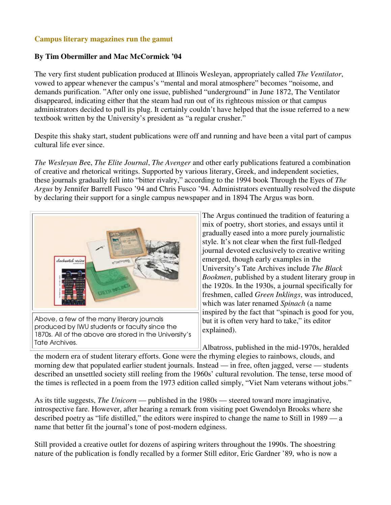### **Campus literary magazines run the gamut**

#### **By Tim Obermiller and Mac McCormick '04**

The very first student publication produced at Illinois Wesleyan, appropriately called *The Ventilator*, vowed to appear whenever the campus's "mental and moral atmosphere" becomes "noisome, and demands purification. "After only one issue, published "underground" in June 1872, The Ventilator disappeared, indicating either that the steam had run out of its righteous mission or that campus administrators decided to pull its plug. It certainly couldn't have helped that the issue referred to a new textbook written by the University's president as "a regular crusher."

Despite this shaky start, student publications were off and running and have been a vital part of campus cultural life ever since.

*The Wesleyan Be*e, *The Elite Journal*, *The Avenger* and other early publications featured a combination of creative and rhetorical writings. Supported by various literary, Greek, and independent societies, these journals gradually fell into "bitter rivalry," according to the 1994 book Through the Eyes of *The Argus* by Jennifer Barrell Fusco '94 and Chris Fusco '94. Administrators eventually resolved the dispute by declaring their support for a single campus newspaper and in 1894 The Argus was born.



Above, a few of the many literary journals produced by IWU students or faculty since the 1870s. All of the above are stored in the University's Tate Archives.

The Argus continued the tradition of featuring a mix of poetry, short stories, and essays until it gradually eased into a more purely journalistic style. It's not clear when the first full-fledged journal devoted exclusively to creative writing emerged, though early examples in the University's Tate Archives include *The Black Bookmen*, published by a student literary group in the 1920s. In the 1930s, a journal specifically for freshmen, called *Green Inklings*, was introduced, which was later renamed *Spinach* (a name inspired by the fact that "spinach is good for you, but it is often very hard to take," its editor explained).

Albatross, published in the mid-1970s, heralded

the modern era of student literary efforts. Gone were the rhyming elegies to rainbows, clouds, and morning dew that populated earlier student journals. Instead — in free, often jagged, verse — students described an unsettled society still reeling from the 1960s' cultural revolution. The tense, terse mood of the times is reflected in a poem from the 1973 edition called simply, "Viet Nam veterans without jobs."

As its title suggests, *The Unicorn* — published in the 1980s — steered toward more imaginative, introspective fare. However, after hearing a remark from visiting poet Gwendolyn Brooks where she described poetry as "life distilled," the editors were inspired to change the name to Still in 1989 — a name that better fit the journal's tone of post-modern edginess.

Still provided a creative outlet for dozens of aspiring writers throughout the 1990s. The shoestring nature of the publication is fondly recalled by a former Still editor, Eric Gardner '89, who is now a